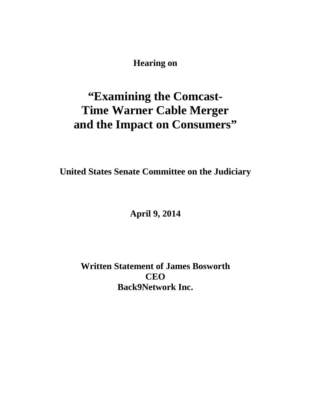**Hearing on**

# **"Examining the Comcast-Time Warner Cable Merger and the Impact on Consumers"**

**United States Senate Committee on the Judiciary**

**April 9, 2014**

**Written Statement of James Bosworth CEO Back9Network Inc.**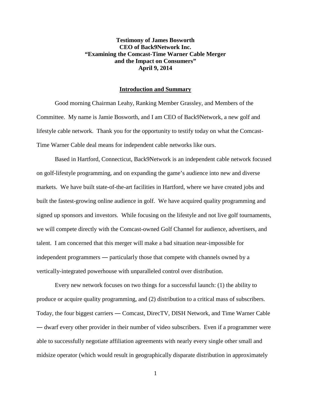## **Testimony of James Bosworth CEO of Back9Network Inc. "Examining the Comcast-Time Warner Cable Merger and the Impact on Consumers" April 9, 2014**

#### **Introduction and Summary**

Good morning Chairman Leahy, Ranking Member Grassley, and Members of the Committee. My name is Jamie Bosworth, and I am CEO of Back9Network, a new golf and lifestyle cable network. Thank you for the opportunity to testify today on what the Comcast-Time Warner Cable deal means for independent cable networks like ours.

Based in Hartford, Connecticut, Back9Network is an independent cable network focused on golf-lifestyle programming, and on expanding the game's audience into new and diverse markets. We have built state-of-the-art facilities in Hartford, where we have created jobs and built the fastest-growing online audience in golf. We have acquired quality programming and signed up sponsors and investors. While focusing on the lifestyle and not live golf tournaments, we will compete directly with the Comcast-owned Golf Channel for audience, advertisers, and talent. I am concerned that this merger will make a bad situation near-impossible for independent programmers ― particularly those that compete with channels owned by a vertically-integrated powerhouse with unparalleled control over distribution.

Every new network focuses on two things for a successful launch: (1) the ability to produce or acquire quality programming, and (2) distribution to a critical mass of subscribers. Today, the four biggest carriers ― Comcast, DirecTV, DISH Network, and Time Warner Cable ― dwarf every other provider in their number of video subscribers. Even if a programmer were able to successfully negotiate affiliation agreements with nearly every single other small and midsize operator (which would result in geographically disparate distribution in approximately

1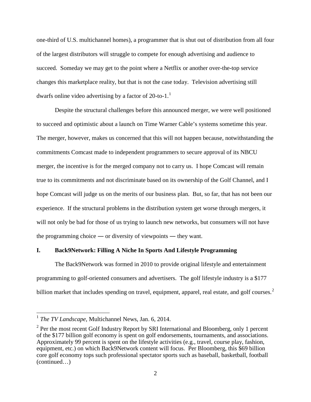one-third of U.S. multichannel homes), a programmer that is shut out of distribution from all four of the largest distributors will struggle to compete for enough advertising and audience to succeed. Someday we may get to the point where a Netflix or another over-the-top service changes this marketplace reality, but that is not the case today. Television advertising still dwarfs online video advertising by a factor of  $20$ -to-[1](#page-2-0).<sup>1</sup>

Despite the structural challenges before this announced merger, we were well positioned to succeed and optimistic about a launch on Time Warner Cable's systems sometime this year. The merger, however, makes us concerned that this will not happen because, notwithstanding the commitments Comcast made to independent programmers to secure approval of its NBCU merger, the incentive is for the merged company not to carry us. I hope Comcast will remain true to its commitments and not discriminate based on its ownership of the Golf Channel, and I hope Comcast will judge us on the merits of our business plan. But, so far, that has not been our experience. If the structural problems in the distribution system get worse through mergers, it will not only be bad for those of us trying to launch new networks, but consumers will not have the programming choice ― or diversity of viewpoints ― they want.

#### **I. Back9Network: Filling A Niche In Sports And Lifestyle Programming**

The Back9Network was formed in 2010 to provide original lifestyle and entertainment programming to golf-oriented consumers and advertisers. The golf lifestyle industry is a \$177 billion market that includes spending on travel, equipment, apparel, real estate, and golf courses. $2$ 

<span id="page-2-0"></span> <sup>1</sup> *The TV Landscape*, Multichannel News, Jan. 6, 2014.

<span id="page-2-1"></span> $2$  Per the most recent Golf Industry Report by SRI International and Bloomberg, only 1 percent of the \$177 billion golf economy is spent on golf endorsements, tournaments, and associations. Approximately 99 percent is spent on the lifestyle activities (e.g., travel, course play, fashion, equipment, etc.) on which Back9Network content will focus. Per Bloomberg, this \$69 billion core golf economy tops such professional spectator sports such as baseball, basketball, football (continued…)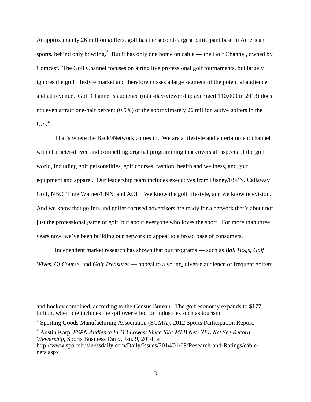At approximately 26 million golfers, golf has the second-largest participant base in American sports, behind only bowling.<sup>[3](#page-3-0)</sup> But it has only one home on cable — the Golf Channel, owned by Comcast. The Golf Channel focuses on airing live professional golf tournaments, but largely ignores the golf lifestyle market and therefore misses a large segment of the potential audience and ad revenue. Golf Channel's audience (total-day-viewership averaged 110,000 in 2013) does not even attract one-half percent (0.5%) of the approximately 26 million active golfers in the  $U.S.<sup>4</sup>$  $U.S.<sup>4</sup>$  $U.S.<sup>4</sup>$ 

That's where the Back9Network comes in. We are a lifestyle and entertainment channel with character-driven and compelling original programming that covers all aspects of the golf world, including golf personalities, golf courses, fashion, health and wellness, and golf equipment and apparel. Our leadership team includes executives from Disney/ESPN, Callaway Golf, NBC, Time Warner/CNN, and AOL. We know the golf lifestyle, and we know television. And we know that golfers and golfer-focused advertisers are ready for a network that's about not just the professional game of golf, but about everyone who loves the sport. For more than three years now, we've been building our network to appeal to a broad base of consumers.

Independent market research has shown that our programs ― such as *Ball Hogs*, *Golf Wives*, *Of Course*, and *Golf Treasures* ― appeal to a young, diverse audience of frequent golfers

 $\overline{a}$ 

and hockey combined, according to the Census Bureau. The golf economy expands to \$177 billion, when one includes the spillover effect on industries such as tourism.

<span id="page-3-0"></span><sup>&</sup>lt;sup>3</sup> Sporting Goods Manufacturing Association (SGMA), 2012 Sports Participation Report.

<span id="page-3-1"></span><sup>4</sup> Austin Karp, *ESPN Audience In '13 Lowest Since '08; MLB Net, NFL Net See Record Viewership*, Sports Business Daily, Jan. 9, 2014, at

http://www.sportsbusinessdaily.com/Daily/Issues/2014/01/09/Research-and-Ratings/cablenets.aspx.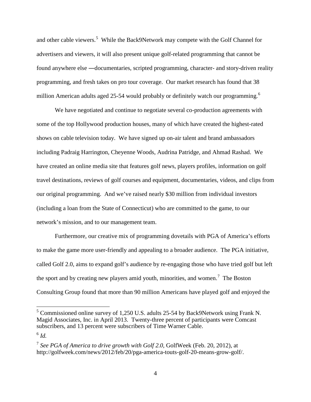and other cable viewers.<sup>[5](#page-4-0)</sup> While the Back9Network may compete with the Golf Channel for advertisers and viewers, it will also present unique golf-related programming that cannot be found anywhere else ―documentaries, scripted programming, character- and story-driven reality programming, and fresh takes on pro tour coverage. Our market research has found that 38 million American adults aged 25-54 would probably or definitely watch our programming.<sup>[6](#page-4-1)</sup>

We have negotiated and continue to negotiate several co-production agreements with some of the top Hollywood production houses, many of which have created the highest-rated shows on cable television today. We have signed up on-air talent and brand ambassadors including Padraig Harrington, Cheyenne Woods, Audrina Patridge, and Ahmad Rashad. We have created an online media site that features golf news, players profiles, information on golf travel destinations, reviews of golf courses and equipment, documentaries, videos, and clips from our original programming. And we've raised nearly \$30 million from individual investors (including a loan from the State of Connecticut) who are committed to the game, to our network's mission, and to our management team.

Furthermore, our creative mix of programming dovetails with PGA of America's efforts to make the game more user-friendly and appealing to a broader audience. The PGA initiative, called Golf 2.0, aims to expand golf's audience by re-engaging those who have tried golf but left the sport and by creating new players amid youth, minorities, and women.<sup>[7](#page-4-2)</sup> The Boston Consulting Group found that more than 90 million Americans have played golf and enjoyed the

<span id="page-4-0"></span> <sup>5</sup> Commissioned online survey of 1,250 U.S. adults 25-54 by Back9Network using Frank N. Magid Associates, Inc. in April 2013. Twenty-three percent of participants were Comcast subscribers, and 13 percent were subscribers of Time Warner Cable.

<span id="page-4-1"></span> $6$   $Id.$ 

<span id="page-4-2"></span><sup>7</sup> *See PGA of America to drive growth with Golf 2.0*, GolfWeek (Feb. 20, 2012), at http://golfweek.com/news/2012/feb/20/pga-america-touts-golf-20-means-grow-golf/.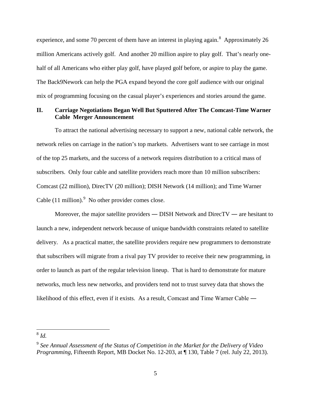experience, and some 70 percent of them have an interest in playing again.<sup>[8](#page-5-0)</sup> Approximately 26 million Americans actively golf. And another 20 million aspire to play golf. That's nearly onehalf of all Americans who either play golf, have played golf before, or aspire to play the game. The Back9Nework can help the PGA expand beyond the core golf audience with our original mix of programming focusing on the casual player's experiences and stories around the game.

#### **II. Carriage Negotiations Began Well But Sputtered After The Comcast-Time Warner Cable Merger Announcement**

To attract the national advertising necessary to support a new, national cable network, the network relies on carriage in the nation's top markets. Advertisers want to see carriage in most of the top 25 markets, and the success of a network requires distribution to a critical mass of subscribers. Only four cable and satellite providers reach more than 10 million subscribers: Comcast (22 million), DirecTV (20 million); DISH Network (14 million); and Time Warner Cable  $(11 \text{ million})$ .<sup>[9](#page-5-1)</sup> No other provider comes close.

Moreover, the major satellite providers — DISH Network and DirecTV — are hesitant to launch a new, independent network because of unique bandwidth constraints related to satellite delivery. As a practical matter, the satellite providers require new programmers to demonstrate that subscribers will migrate from a rival pay TV provider to receive their new programming, in order to launch as part of the regular television lineup. That is hard to demonstrate for mature networks, much less new networks, and providers tend not to trust survey data that shows the likelihood of this effect, even if it exists. As a result, Comcast and Time Warner Cable ―

<span id="page-5-0"></span>8 *Id.*

<span id="page-5-1"></span><sup>9</sup> *See Annual Assessment of the Status of Competition in the Market for the Delivery of Video Programming*, Fifteenth Report, MB Docket No. 12-203, at ¶ 130, Table 7 (rel. July 22, 2013).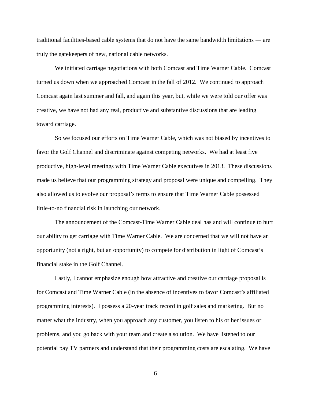traditional facilities-based cable systems that do not have the same bandwidth limitations ― are truly the gatekeepers of new, national cable networks.

We initiated carriage negotiations with both Comcast and Time Warner Cable. Comcast turned us down when we approached Comcast in the fall of 2012. We continued to approach Comcast again last summer and fall, and again this year, but, while we were told our offer was creative, we have not had any real, productive and substantive discussions that are leading toward carriage.

So we focused our efforts on Time Warner Cable, which was not biased by incentives to favor the Golf Channel and discriminate against competing networks. We had at least five productive, high-level meetings with Time Warner Cable executives in 2013. These discussions made us believe that our programming strategy and proposal were unique and compelling. They also allowed us to evolve our proposal's terms to ensure that Time Warner Cable possessed little-to-no financial risk in launching our network.

The announcement of the Comcast-Time Warner Cable deal has and will continue to hurt our ability to get carriage with Time Warner Cable. We are concerned that we will not have an opportunity (not a right, but an opportunity) to compete for distribution in light of Comcast's financial stake in the Golf Channel.

Lastly, I cannot emphasize enough how attractive and creative our carriage proposal is for Comcast and Time Warner Cable (in the absence of incentives to favor Comcast's affiliated programming interests). I possess a 20-year track record in golf sales and marketing. But no matter what the industry, when you approach any customer, you listen to his or her issues or problems, and you go back with your team and create a solution. We have listened to our potential pay TV partners and understand that their programming costs are escalating. We have

6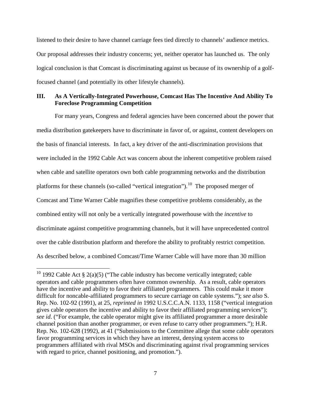listened to their desire to have channel carriage fees tied directly to channels' audience metrics. Our proposal addresses their industry concerns; yet, neither operator has launched us. The only logical conclusion is that Comcast is discriminating against us because of its ownership of a golffocused channel (and potentially its other lifestyle channels).

#### **III. As A Vertically-Integrated Powerhouse, Comcast Has The Incentive And Ability To Foreclose Programming Competition**

For many years, Congress and federal agencies have been concerned about the power that media distribution gatekeepers have to discriminate in favor of, or against, content developers on the basis of financial interests. In fact, a key driver of the anti-discrimination provisions that were included in the 1992 Cable Act was concern about the inherent competitive problem raised when cable and satellite operators own both cable programming networks and the distribution platforms for these channels (so-called "vertical integration").<sup>[10](#page-7-0)</sup> The proposed merger of Comcast and Time Warner Cable magnifies these competitive problems considerably, as the combined entity will not only be a vertically integrated powerhouse with the *incentive* to discriminate against competitive programming channels, but it will have unprecedented control over the cable distribution platform and therefore the ability to profitably restrict competition. As described below, a combined Comcast/Time Warner Cable will have more than 30 million

<span id="page-7-0"></span><sup>&</sup>lt;sup>10</sup> 1992 Cable Act § 2(a)(5) ("The cable industry has become vertically integrated; cable operators and cable programmers often have common ownership. As a result, cable operators have the incentive and ability to favor their affiliated programmers. This could make it more difficult for noncable-affiliated programmers to secure carriage on cable systems."); *see also* S. Rep. No. 102-92 (1991), at 25, *reprinted in* 1992 U.S.C.C.A.N. 1133, 1158 ("vertical integration gives cable operators the incentive and ability to favor their affiliated programming services"); *see id*. ("For example, the cable operator might give its affiliated programmer a more desirable channel position than another programmer, or even refuse to carry other programmers."); H.R. Rep. No. 102-628 (1992), at 41 ("Submissions to the Committee allege that some cable operators favor programming services in which they have an interest, denying system access to programmers affiliated with rival MSOs and discriminating against rival programming services with regard to price, channel positioning, and promotion.").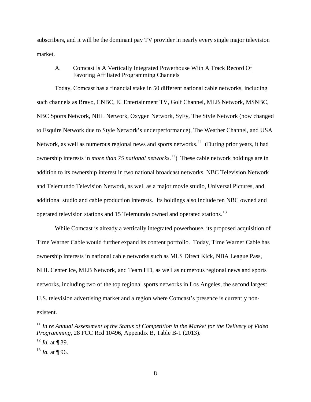subscribers, and it will be the dominant pay TV provider in nearly every single major television market.

## A. Comcast Is A Vertically Integrated Powerhouse With A Track Record Of Favoring Affiliated Programming Channels

Today, Comcast has a financial stake in 50 different national cable networks, including such channels as Bravo, CNBC, E! Entertainment TV, Golf Channel, MLB Network, MSNBC, NBC Sports Network, NHL Network, Oxygen Network, SyFy, The Style Network (now changed to Esquire Network due to Style Network's underperformance), The Weather Channel, and USA Network, as well as numerous regional news and sports networks.<sup>11</sup> (During prior years, it had ownership interests in *more than 75 national networks*. [12](#page-8-1)) These cable network holdings are in addition to its ownership interest in two national broadcast networks, NBC Television Network and Telemundo Television Network, as well as a major movie studio, Universal Pictures, and additional studio and cable production interests. Its holdings also include ten NBC owned and operated television stations and 15 Telemundo owned and operated stations.<sup>13</sup>

While Comcast is already a vertically integrated powerhouse, its proposed acquisition of Time Warner Cable would further expand its content portfolio. Today, Time Warner Cable has ownership interests in national cable networks such as MLS Direct Kick, NBA League Pass, NHL Center Ice, MLB Network, and Team HD, as well as numerous regional news and sports networks, including two of the top regional sports networks in Los Angeles, the second largest U.S. television advertising market and a region where Comcast's presence is currently nonexistent.

<span id="page-8-0"></span> <sup>11</sup> *In re Annual Assessment of the Status of Competition in the Market for the Delivery of Video Programming*, 28 FCC Rcd 10496, Appendix B, Table B-1 (2013).

<span id="page-8-1"></span><sup>12</sup> *Id.* at ¶ 39.

<span id="page-8-2"></span><sup>13</sup> *Id.* at ¶ 96.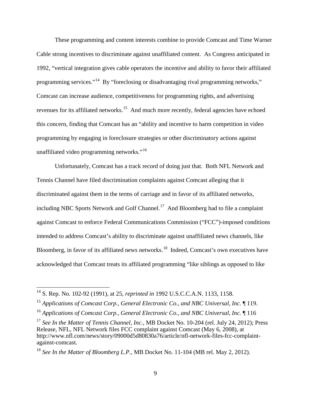These programming and content interests combine to provide Comcast and Time Warner Cable strong incentives to discriminate against unaffiliated content. As Congress anticipated in 1992, "vertical integration gives cable operators the incentive and ability to favor their affiliated programming services."<sup>14</sup> By "foreclosing or disadvantaging rival programming networks," Comcast can increase audience, competitiveness for programming rights, and advertising revenues for its affiliated networks.<sup>15</sup> And much more recently, federal agencies have echoed this concern, finding that Comcast has an "ability and incentive to harm competition in video programming by engaging in foreclosure strategies or other discriminatory actions against unaffiliated video programming networks."[16](#page-9-2)

Unfortunately, Comcast has a track record of doing just that. Both NFL Network and Tennis Channel have filed discrimination complaints against Comcast alleging that it discriminated against them in the terms of carriage and in favor of its affiliated networks, including NBC Sports Network and Golf Channel.<sup>[17](#page-9-3)</sup> And Bloomberg had to file a complaint against Comcast to enforce Federal Communications Commission ("FCC")-imposed conditions intended to address Comcast's ability to discriminate against unaffiliated news channels, like Bloomberg, in favor of its affiliated news networks.<sup>18</sup> Indeed, Comcast's own executives have acknowledged that Comcast treats its affiliated programming "like siblings as opposed to like

<span id="page-9-0"></span> <sup>14</sup> S. Rep. No. 102-92 (1991), at 25, *reprinted in* 1992 U.S.C.C.A.N. 1133, 1158.

<span id="page-9-1"></span><sup>15</sup> *Applications of Comcast Corp., General Electronic Co., and NBC Universal, Inc.* ¶ 119.

<span id="page-9-2"></span><sup>16</sup> *Applications of Comcast Corp., General Electronic Co., and NBC Universal, Inc.* ¶ 116

<span id="page-9-3"></span><sup>&</sup>lt;sup>17</sup> See In the Matter of Tennis Channel, Inc., MB Docket No. 10-204 (rel. July 24, 2012); Press Release, NFL, NFL Network files FCC complaint against Comcast (May 6, 2008), at http://www.nfl.com/news/story/09000d5d80830a76/article/nfl-network-files-fcc-complaintagainst-comcast.

<span id="page-9-4"></span><sup>18</sup> *See In the Matter of Bloomberg L.P.*, MB Docket No. 11-104 (MB rel. May 2, 2012).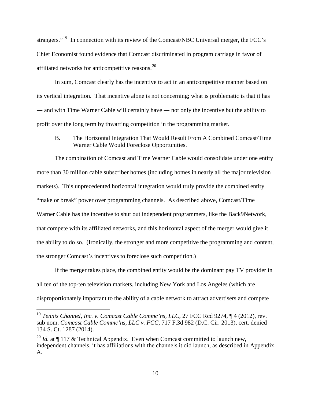strangers."<sup>[19](#page-10-0)</sup> In connection with its review of the Comcast/NBC Universal merger, the FCC's Chief Economist found evidence that Comcast discriminated in program carriage in favor of affiliated networks for anticompetitive reasons.<sup>20</sup>

In sum, Comcast clearly has the incentive to act in an anticompetitive manner based on its vertical integration. That incentive alone is not concerning; what is problematic is that it has ― and with Time Warner Cable will certainly have ― not only the incentive but the ability to profit over the long term by thwarting competition in the programming market.

#### B. The Horizontal Integration That Would Result From A Combined Comcast/Time Warner Cable Would Foreclose Opportunities.

The combination of Comcast and Time Warner Cable would consolidate under one entity more than 30 million cable subscriber homes (including homes in nearly all the major television markets). This unprecedented horizontal integration would truly provide the combined entity "make or break" power over programming channels. As described above, Comcast/Time Warner Cable has the incentive to shut out independent programmers, like the Back9Network, that compete with its affiliated networks, and this horizontal aspect of the merger would give it the ability to do so. (Ironically, the stronger and more competitive the programming and content, the stronger Comcast's incentives to foreclose such competition.)

If the merger takes place, the combined entity would be the dominant pay TV provider in all ten of the top-ten television markets, including New York and Los Angeles (which are disproportionately important to the ability of a cable network to attract advertisers and compete

<span id="page-10-0"></span><sup>&</sup>lt;sup>19</sup> Tennis Channel, Inc. v. Comcast Cable Commc'ns, LLC, 27 FCC Rcd 9274, ¶ 4 (2012), rev. sub nom. *Comcast Cable Commc'ns, LLC v. FCC*, 717 F.3d 982 (D.C. Cir. 2013), cert. denied 134 S. Ct. 1287 (2014).

<span id="page-10-1"></span><sup>&</sup>lt;sup>20</sup> *Id.* at  $\P$  117 & Technical Appendix. Even when Comcast committed to launch new, independent channels, it has affiliations with the channels it did launch, as described in Appendix A.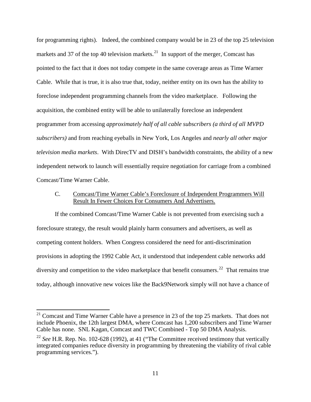for programming rights). Indeed, the combined company would be in 23 of the top 25 television markets and 37 of the top 40 television markets.<sup>21</sup> In support of the merger, Comcast has pointed to the fact that it does not today compete in the same coverage areas as Time Warner Cable. While that is true, it is also true that, today, neither entity on its own has the ability to foreclose independent programming channels from the video marketplace. Following the acquisition, the combined entity will be able to unilaterally foreclose an independent programmer from accessing *approximately half of all cable subscribers (a third of all MVPD subscribers)* and from reaching eyeballs in New York, Los Angeles and *nearly all other major television media markets*. With DirecTV and DISH's bandwidth constraints, the ability of a new independent network to launch will essentially require negotiation for carriage from a combined Comcast/Time Warner Cable.

## C. Comcast/Time Warner Cable's Foreclosure of Independent Programmers Will Result In Fewer Choices For Consumers And Advertisers.

If the combined Comcast/Time Warner Cable is not prevented from exercising such a foreclosure strategy, the result would plainly harm consumers and advertisers, as well as competing content holders. When Congress considered the need for anti-discrimination provisions in adopting the 1992 Cable Act, it understood that independent cable networks add diversity and competition to the video marketplace that benefit consumers.<sup>[22](#page-11-1)</sup> That remains true today, although innovative new voices like the Back9Network simply will not have a chance of

<span id="page-11-0"></span> $21$  Comcast and Time Warner Cable have a presence in 23 of the top 25 markets. That does not include Phoenix, the 12th largest DMA, where Comcast has 1,200 subscribers and Time Warner Cable has none. SNL Kagan, Comcast and TWC Combined - Top 50 DMA Analysis.

<span id="page-11-1"></span><sup>&</sup>lt;sup>22</sup> See H.R. Rep. No. 102-628 (1992), at 41 ("The Committee received testimony that vertically integrated companies reduce diversity in programming by threatening the viability of rival cable programming services.").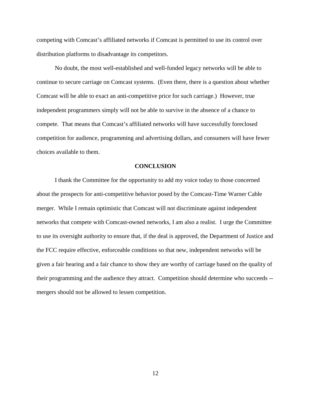competing with Comcast's affiliated networks if Comcast is permitted to use its control over distribution platforms to disadvantage its competitors.

No doubt, the most well-established and well-funded legacy networks will be able to continue to secure carriage on Comcast systems. (Even there, there is a question about whether Comcast will be able to exact an anti-competitive price for such carriage.) However, true independent programmers simply will not be able to survive in the absence of a chance to compete. That means that Comcast's affiliated networks will have successfully foreclosed competition for audience, programming and advertising dollars, and consumers will have fewer choices available to them.

#### **CONCLUSION**

I thank the Committee for the opportunity to add my voice today to those concerned about the prospects for anti-competitive behavior posed by the Comcast-Time Warner Cable merger. While I remain optimistic that Comcast will not discriminate against independent networks that compete with Comcast-owned networks, I am also a realist. I urge the Committee to use its oversight authority to ensure that, if the deal is approved, the Department of Justice and the FCC require effective, enforceable conditions so that new, independent networks will be given a fair hearing and a fair chance to show they are worthy of carriage based on the quality of their programming and the audience they attract. Competition should determine who succeeds - mergers should not be allowed to lessen competition.